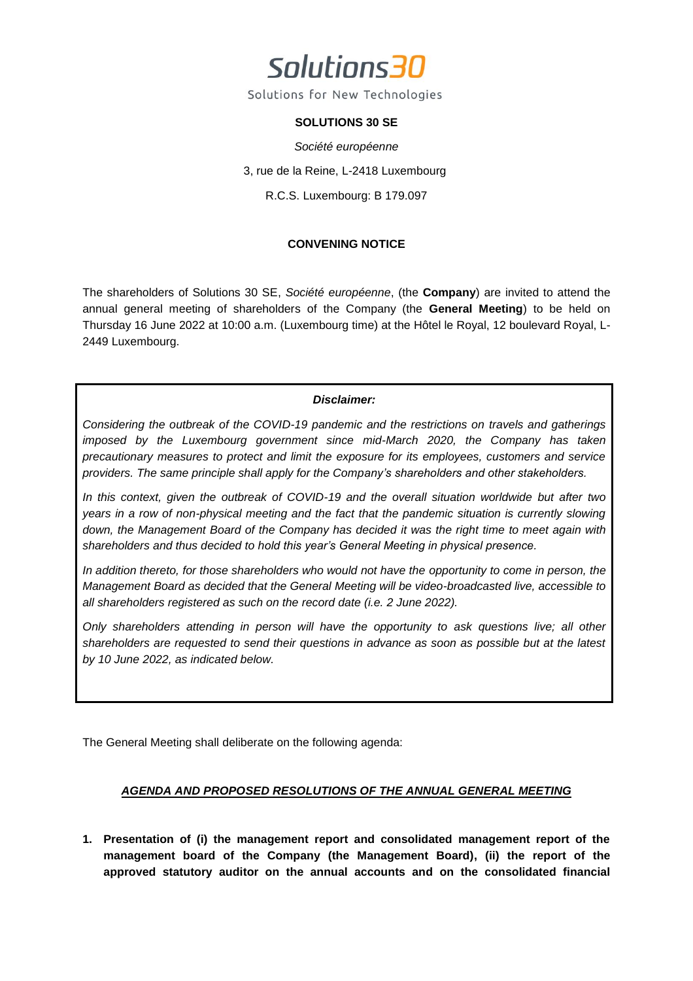

Solutions for New Technologies

### **SOLUTIONS 30 SE**

*Société européenne* 3, rue de la Reine, L-2418 Luxembourg R.C.S. Luxembourg: B 179.097

### **CONVENING NOTICE**

The shareholders of Solutions 30 SE, *Société européenne*, (the **Company**) are invited to attend the annual general meeting of shareholders of the Company (the **General Meeting**) to be held on Thursday 16 June 2022 at 10:00 a.m. (Luxembourg time) at the Hôtel le Royal, 12 boulevard Royal, L-2449 Luxembourg.

### *Disclaimer:*

*Considering the outbreak of the COVID-19 pandemic and the restrictions on travels and gatherings imposed by the Luxembourg government since mid-March 2020, the Company has taken precautionary measures to protect and limit the exposure for its employees, customers and service providers. The same principle shall apply for the Company's shareholders and other stakeholders.*

*In this context, given the outbreak of COVID-19 and the overall situation worldwide but after two years in a row of non-physical meeting and the fact that the pandemic situation is currently slowing down, the Management Board of the Company has decided it was the right time to meet again with shareholders and thus decided to hold this year's General Meeting in physical presence.* 

*In addition thereto, for those shareholders who would not have the opportunity to come in person, the Management Board as decided that the General Meeting will be video-broadcasted live, accessible to all shareholders registered as such on the record date (i.e. 2 June 2022).*

*Only shareholders attending in person will have the opportunity to ask questions live; all other shareholders are requested to send their questions in advance as soon as possible but at the latest by 10 June 2022, as indicated below.*

The General Meeting shall deliberate on the following agenda:

### *AGENDA AND PROPOSED RESOLUTIONS OF THE ANNUAL GENERAL MEETING*

**1. Presentation of (i) the management report and consolidated management report of the management board of the Company (the Management Board), (ii) the report of the approved statutory auditor on the annual accounts and on the consolidated financial**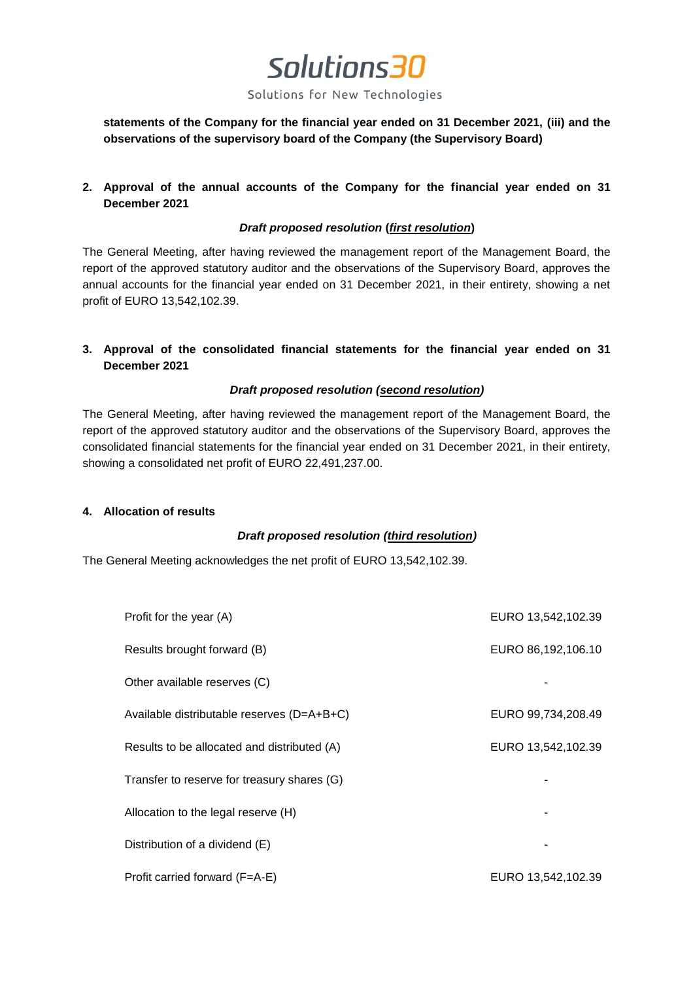Solutions for New Technologies

**statements of the Company for the financial year ended on 31 December 2021, (iii) and the observations of the supervisory board of the Company (the Supervisory Board)**

**2. Approval of the annual accounts of the Company for the financial year ended on 31 December 2021**

### *Draft proposed resolution* **(***first resolution***)**

The General Meeting, after having reviewed the management report of the Management Board, the report of the approved statutory auditor and the observations of the Supervisory Board, approves the annual accounts for the financial year ended on 31 December 2021, in their entirety, showing a net profit of EURO 13,542,102.39.

**3. Approval of the consolidated financial statements for the financial year ended on 31 December 2021**

### *Draft proposed resolution (second resolution)*

The General Meeting, after having reviewed the management report of the Management Board, the report of the approved statutory auditor and the observations of the Supervisory Board, approves the consolidated financial statements for the financial year ended on 31 December 2021, in their entirety, showing a consolidated net profit of EURO 22,491,237.00.

### **4. Allocation of results**

### *Draft proposed resolution (third resolution)*

The General Meeting acknowledges the net profit of EURO 13,542,102.39.

| Profit for the year (A)                     | EURO 13,542,102.39 |
|---------------------------------------------|--------------------|
| Results brought forward (B)                 | EURO 86,192,106.10 |
| Other available reserves (C)                |                    |
| Available distributable reserves (D=A+B+C)  | EURO 99,734,208.49 |
| Results to be allocated and distributed (A) | EURO 13,542,102.39 |
| Transfer to reserve for treasury shares (G) |                    |
| Allocation to the legal reserve (H)         |                    |
| Distribution of a dividend (E)              |                    |
| Profit carried forward (F=A-E)              | EURO 13,542,102.39 |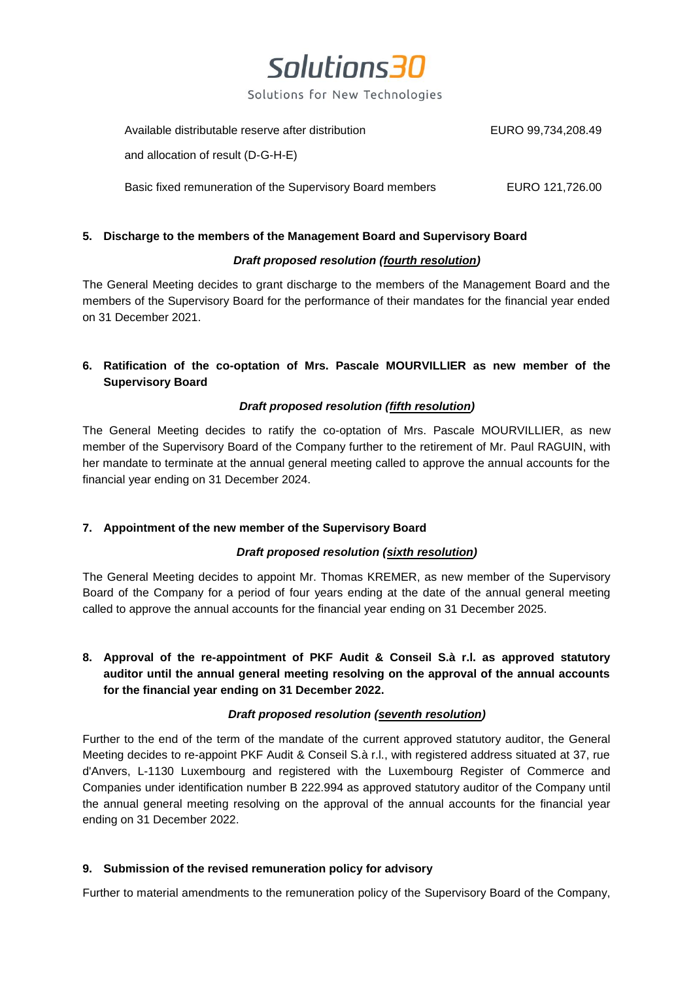Solutions for New Technologies

Available distributable reserve after distribution EURO 99,734,208.49

and allocation of result (D-G-H-E)

Basic fixed remuneration of the Supervisory Board members EURO 121,726.00

### **5. Discharge to the members of the Management Board and Supervisory Board**

### *Draft proposed resolution (fourth resolution)*

The General Meeting decides to grant discharge to the members of the Management Board and the members of the Supervisory Board for the performance of their mandates for the financial year ended on 31 December 2021.

## **6. Ratification of the co-optation of Mrs. Pascale MOURVILLIER as new member of the Supervisory Board**

### *Draft proposed resolution (fifth resolution)*

The General Meeting decides to ratify the co-optation of Mrs. Pascale MOURVILLIER, as new member of the Supervisory Board of the Company further to the retirement of Mr. Paul RAGUIN, with her mandate to terminate at the annual general meeting called to approve the annual accounts for the financial year ending on 31 December 2024.

### **7. Appointment of the new member of the Supervisory Board**

### *Draft proposed resolution (sixth resolution)*

The General Meeting decides to appoint Mr. Thomas KREMER, as new member of the Supervisory Board of the Company for a period of four years ending at the date of the annual general meeting called to approve the annual accounts for the financial year ending on 31 December 2025.

**8. Approval of the re-appointment of PKF Audit & Conseil S.à r.l. as approved statutory auditor until the annual general meeting resolving on the approval of the annual accounts for the financial year ending on 31 December 2022.**

### *Draft proposed resolution (seventh resolution)*

Further to the end of the term of the mandate of the current approved statutory auditor, the General Meeting decides to re-appoint PKF Audit & Conseil S.à r.l., with registered address situated at 37, rue d'Anvers, L-1130 Luxembourg and registered with the Luxembourg Register of Commerce and Companies under identification number B 222.994 as approved statutory auditor of the Company until the annual general meeting resolving on the approval of the annual accounts for the financial year ending on 31 December 2022.

### **9. Submission of the revised remuneration policy for advisory**

Further to material amendments to the remuneration policy of the Supervisory Board of the Company,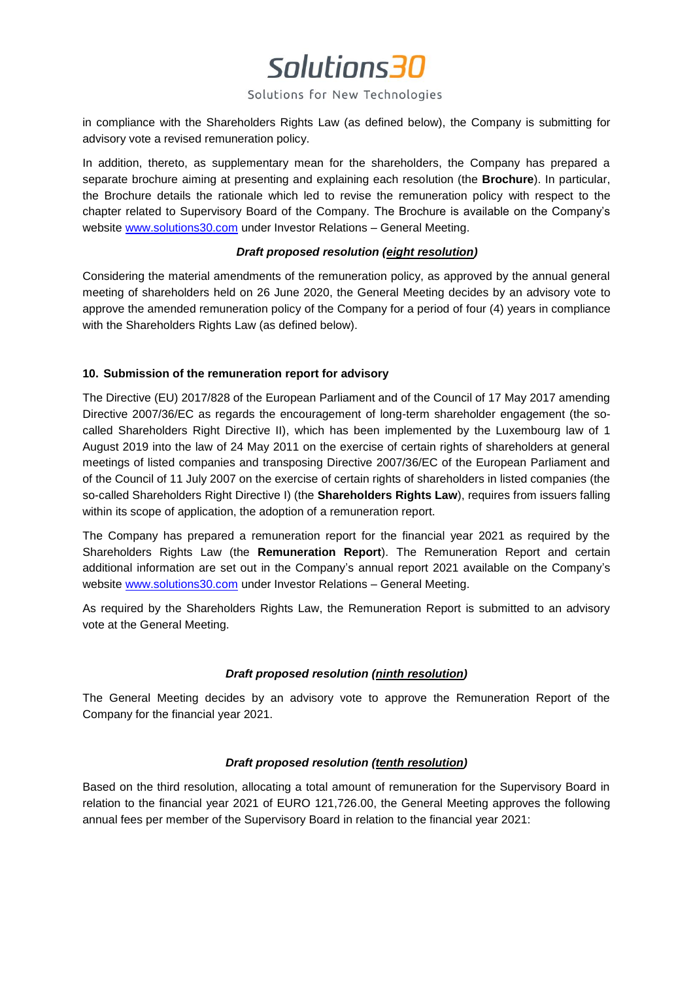### Solutions for New Technologies

in compliance with the Shareholders Rights Law (as defined below), the Company is submitting for advisory vote a revised remuneration policy.

In addition, thereto, as supplementary mean for the shareholders, the Company has prepared a separate brochure aiming at presenting and explaining each resolution (the **Brochure**). In particular, the Brochure details the rationale which led to revise the remuneration policy with respect to the chapter related to Supervisory Board of the Company. The Brochure is available on the Company's website [www.solutions30.com](http://www.solutions30.com/) under Investor Relations – General Meeting.

### *Draft proposed resolution (eight resolution)*

Considering the material amendments of the remuneration policy, as approved by the annual general meeting of shareholders held on 26 June 2020, the General Meeting decides by an advisory vote to approve the amended remuneration policy of the Company for a period of four (4) years in compliance with the Shareholders Rights Law (as defined below).

### **10. Submission of the remuneration report for advisory**

The Directive (EU) 2017/828 of the European Parliament and of the Council of 17 May 2017 amending Directive 2007/36/EC as regards the encouragement of long-term shareholder engagement (the socalled Shareholders Right Directive II), which has been implemented by the Luxembourg law of 1 August 2019 into the law of 24 May 2011 on the exercise of certain rights of shareholders at general meetings of listed companies and transposing Directive 2007/36/EC of the European Parliament and of the Council of 11 July 2007 on the exercise of certain rights of shareholders in listed companies (the so-called Shareholders Right Directive I) (the **Shareholders Rights Law**), requires from issuers falling within its scope of application, the adoption of a remuneration report.

The Company has prepared a remuneration report for the financial year 2021 as required by the Shareholders Rights Law (the **Remuneration Report**). The Remuneration Report and certain additional information are set out in the Company's annual report 2021 available on the Company's website [www.solutions30.com](http://www.solutions30.com/) under Investor Relations – General Meeting.

As required by the Shareholders Rights Law, the Remuneration Report is submitted to an advisory vote at the General Meeting.

### *Draft proposed resolution (ninth resolution)*

The General Meeting decides by an advisory vote to approve the Remuneration Report of the Company for the financial year 2021.

### *Draft proposed resolution (tenth resolution)*

Based on the third resolution, allocating a total amount of remuneration for the Supervisory Board in relation to the financial year 2021 of EURO 121,726.00, the General Meeting approves the following annual fees per member of the Supervisory Board in relation to the financial year 2021: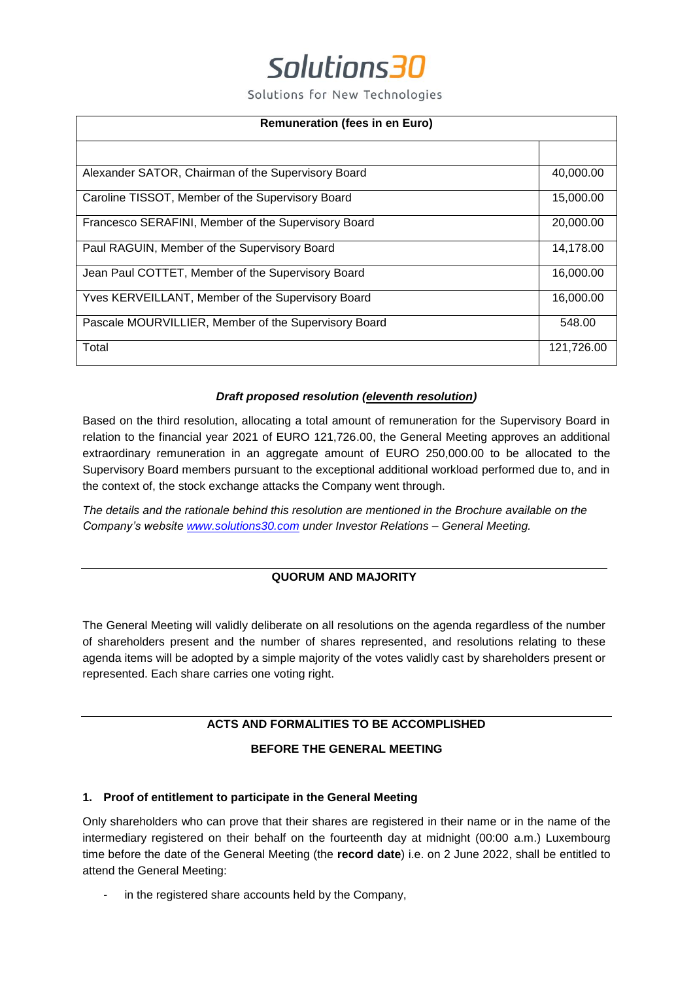Solutions for New Technologies

| <b>Remuneration (fees in en Euro)</b>                |            |
|------------------------------------------------------|------------|
|                                                      |            |
| Alexander SATOR, Chairman of the Supervisory Board   | 40,000.00  |
| Caroline TISSOT, Member of the Supervisory Board     | 15,000.00  |
| Francesco SERAFINI, Member of the Supervisory Board  | 20,000.00  |
| Paul RAGUIN, Member of the Supervisory Board         | 14,178.00  |
| Jean Paul COTTET, Member of the Supervisory Board    | 16,000.00  |
| Yves KERVEILLANT, Member of the Supervisory Board    | 16,000.00  |
| Pascale MOURVILLIER, Member of the Supervisory Board | 548.00     |
| Total                                                | 121,726.00 |

### *Draft proposed resolution (eleventh resolution)*

Based on the third resolution, allocating a total amount of remuneration for the Supervisory Board in relation to the financial year 2021 of EURO 121,726.00, the General Meeting approves an additional extraordinary remuneration in an aggregate amount of EURO 250,000.00 to be allocated to the Supervisory Board members pursuant to the exceptional additional workload performed due to, and in the context of, the stock exchange attacks the Company went through.

*The details and the rationale behind this resolution are mentioned in the Brochure available on the Company's website [www.solutions30.com](http://www.solutions30.com/) under Investor Relations – General Meeting.*

### **QUORUM AND MAJORITY**

The General Meeting will validly deliberate on all resolutions on the agenda regardless of the number of shareholders present and the number of shares represented, and resolutions relating to these agenda items will be adopted by a simple majority of the votes validly cast by shareholders present or represented. Each share carries one voting right.

### **ACTS AND FORMALITIES TO BE ACCOMPLISHED**

### **BEFORE THE GENERAL MEETING**

### **1. Proof of entitlement to participate in the General Meeting**

Only shareholders who can prove that their shares are registered in their name or in the name of the intermediary registered on their behalf on the fourteenth day at midnight (00:00 a.m.) Luxembourg time before the date of the General Meeting (the **record date**) i.e. on 2 June 2022, shall be entitled to attend the General Meeting:

in the registered share accounts held by the Company,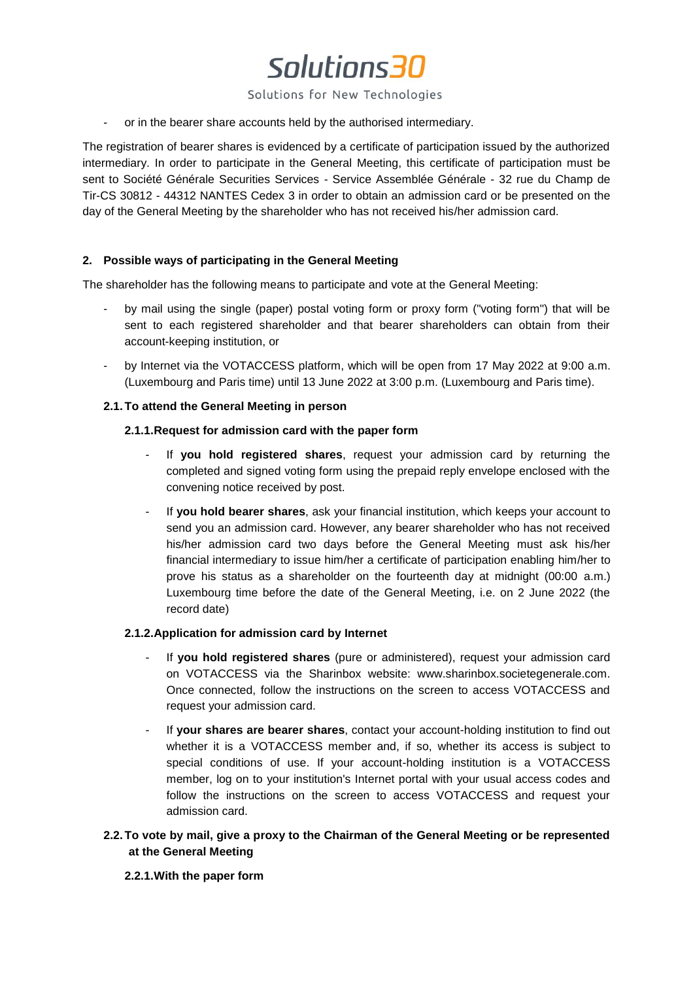Solutions for New Technologies

- or in the bearer share accounts held by the authorised intermediary.

The registration of bearer shares is evidenced by a certificate of participation issued by the authorized intermediary. In order to participate in the General Meeting, this certificate of participation must be sent to Société Générale Securities Services - Service Assemblée Générale - 32 rue du Champ de Tir-CS 30812 - 44312 NANTES Cedex 3 in order to obtain an admission card or be presented on the day of the General Meeting by the shareholder who has not received his/her admission card.

### **2. Possible ways of participating in the General Meeting**

The shareholder has the following means to participate and vote at the General Meeting:

- by mail using the single (paper) postal voting form or proxy form ("voting form") that will be sent to each registered shareholder and that bearer shareholders can obtain from their account-keeping institution, or
- by Internet via the VOTACCESS platform, which will be open from 17 May 2022 at 9:00 a.m. (Luxembourg and Paris time) until 13 June 2022 at 3:00 p.m. (Luxembourg and Paris time).

### **2.1.To attend the General Meeting in person**

### **2.1.1.Request for admission card with the paper form**

- If **you hold registered shares**, request your admission card by returning the completed and signed voting form using the prepaid reply envelope enclosed with the convening notice received by post.
- If **you hold bearer shares**, ask your financial institution, which keeps your account to send you an admission card. However, any bearer shareholder who has not received his/her admission card two days before the General Meeting must ask his/her financial intermediary to issue him/her a certificate of participation enabling him/her to prove his status as a shareholder on the fourteenth day at midnight (00:00 a.m.) Luxembourg time before the date of the General Meeting, i.e. on 2 June 2022 (the record date)

### **2.1.2.Application for admission card by Internet**

- If **you hold registered shares** (pure or administered), request your admission card on VOTACCESS via the Sharinbox website: www.sharinbox.societegenerale.com. Once connected, follow the instructions on the screen to access VOTACCESS and request your admission card.
- If **your shares are bearer shares**, contact your account-holding institution to find out whether it is a VOTACCESS member and, if so, whether its access is subject to special conditions of use. If your account-holding institution is a VOTACCESS member, log on to your institution's Internet portal with your usual access codes and follow the instructions on the screen to access VOTACCESS and request your admission card.

## **2.2.To vote by mail, give a proxy to the Chairman of the General Meeting or be represented at the General Meeting**

### **2.2.1.With the paper form**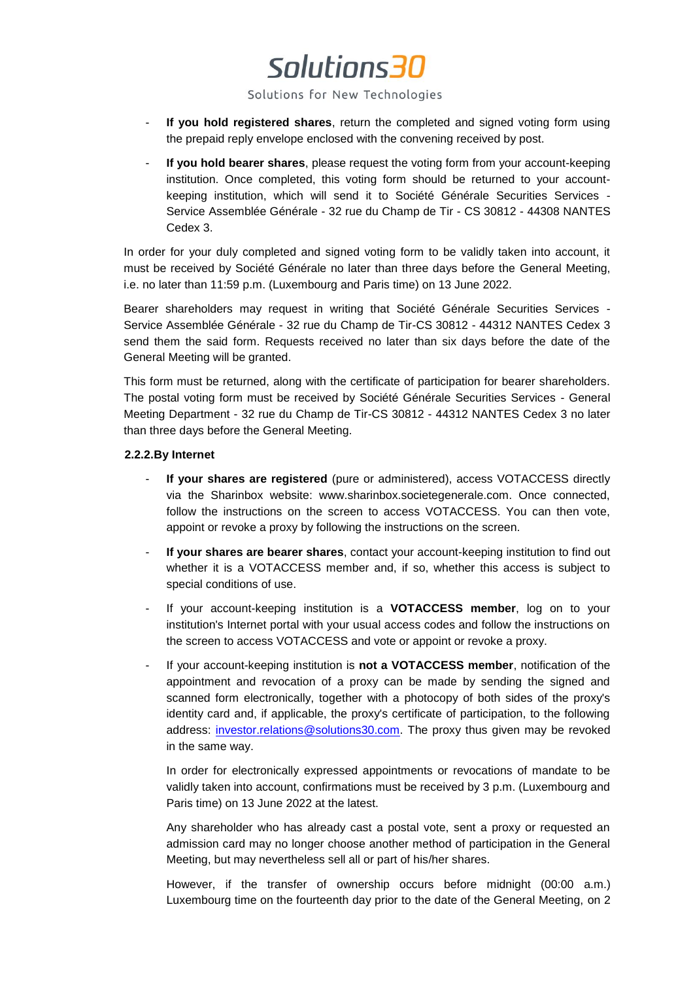Solutions for New Technologies

- **If you hold registered shares**, return the completed and signed voting form using the prepaid reply envelope enclosed with the convening received by post.
- If you hold bearer shares, please request the voting form from your account-keeping institution. Once completed, this voting form should be returned to your accountkeeping institution, which will send it to Société Générale Securities Services - Service Assemblée Générale - 32 rue du Champ de Tir - CS 30812 - 44308 NANTES Cedex 3.

In order for your duly completed and signed voting form to be validly taken into account, it must be received by Société Générale no later than three days before the General Meeting, i.e. no later than 11:59 p.m. (Luxembourg and Paris time) on 13 June 2022.

Bearer shareholders may request in writing that Société Générale Securities Services - Service Assemblée Générale - 32 rue du Champ de Tir-CS 30812 - 44312 NANTES Cedex 3 send them the said form. Requests received no later than six days before the date of the General Meeting will be granted.

This form must be returned, along with the certificate of participation for bearer shareholders. The postal voting form must be received by Société Générale Securities Services - General Meeting Department - 32 rue du Champ de Tir-CS 30812 - 44312 NANTES Cedex 3 no later than three days before the General Meeting.

### **2.2.2.By Internet**

- **If your shares are registered** (pure or administered), access VOTACCESS directly via the Sharinbox website: www.sharinbox.societegenerale.com. Once connected, follow the instructions on the screen to access VOTACCESS. You can then vote, appoint or revoke a proxy by following the instructions on the screen.
- **If your shares are bearer shares**, contact your account-keeping institution to find out whether it is a VOTACCESS member and, if so, whether this access is subject to special conditions of use.
- If your account-keeping institution is a **VOTACCESS member**, log on to your institution's Internet portal with your usual access codes and follow the instructions on the screen to access VOTACCESS and vote or appoint or revoke a proxy.
- If your account-keeping institution is **not a VOTACCESS member**, notification of the appointment and revocation of a proxy can be made by sending the signed and scanned form electronically, together with a photocopy of both sides of the proxy's identity card and, if applicable, the proxy's certificate of participation, to the following address: [investor.relations@solutions30.com.](mailto:investor.relations@solutions30.com) The proxy thus given may be revoked in the same way.

In order for electronically expressed appointments or revocations of mandate to be validly taken into account, confirmations must be received by 3 p.m. (Luxembourg and Paris time) on 13 June 2022 at the latest.

Any shareholder who has already cast a postal vote, sent a proxy or requested an admission card may no longer choose another method of participation in the General Meeting, but may nevertheless sell all or part of his/her shares.

However, if the transfer of ownership occurs before midnight (00:00 a.m.) Luxembourg time on the fourteenth day prior to the date of the General Meeting, on 2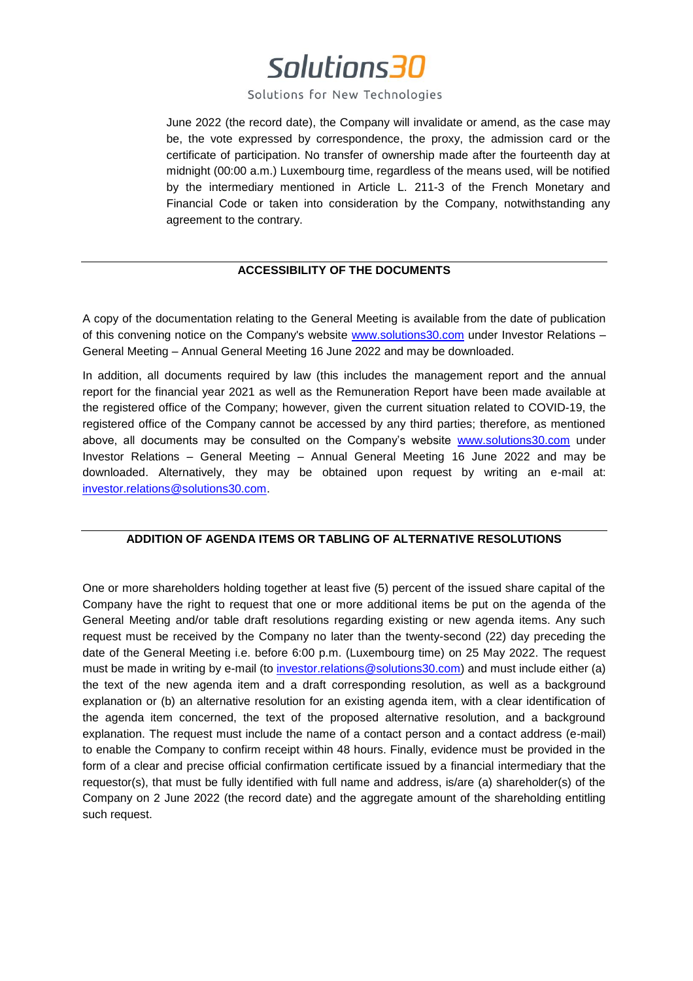### Solutions for New Technologies

June 2022 (the record date), the Company will invalidate or amend, as the case may be, the vote expressed by correspondence, the proxy, the admission card or the certificate of participation. No transfer of ownership made after the fourteenth day at midnight (00:00 a.m.) Luxembourg time, regardless of the means used, will be notified by the intermediary mentioned in Article L. 211-3 of the French Monetary and Financial Code or taken into consideration by the Company, notwithstanding any agreement to the contrary.

## **ACCESSIBILITY OF THE DOCUMENTS**

A copy of the documentation relating to the General Meeting is available from the date of publication of this convening notice on the Company's website [www.solutions30.com](http://www.solutions30.com/) under Investor Relations – General Meeting – Annual General Meeting 16 June 2022 and may be downloaded.

In addition, all documents required by law (this includes the management report and the annual report for the financial year 2021 as well as the Remuneration Report have been made available at the registered office of the Company; however, given the current situation related to COVID-19, the registered office of the Company cannot be accessed by any third parties; therefore, as mentioned above, all documents may be consulted on the Company's website [www.solutions30.com](http://www.solutions30.com/) under Investor Relations – General Meeting – Annual General Meeting 16 June 2022 and may be downloaded. Alternatively, they may be obtained upon request by writing an e-mail at: [investor.relations@solutions30.com.](mailto:investor.relations@solutions30.com)

### **ADDITION OF AGENDA ITEMS OR TABLING OF ALTERNATIVE RESOLUTIONS**

One or more shareholders holding together at least five (5) percent of the issued share capital of the Company have the right to request that one or more additional items be put on the agenda of the General Meeting and/or table draft resolutions regarding existing or new agenda items. Any such request must be received by the Company no later than the twenty-second (22) day preceding the date of the General Meeting i.e. before 6:00 p.m. (Luxembourg time) on 25 May 2022. The request must be made in writing by e-mail (to [investor.relations@solutions30.com\)](mailto:investor.relations@solutions30.com) and must include either (a) the text of the new agenda item and a draft corresponding resolution, as well as a background explanation or (b) an alternative resolution for an existing agenda item, with a clear identification of the agenda item concerned, the text of the proposed alternative resolution, and a background explanation. The request must include the name of a contact person and a contact address (e-mail) to enable the Company to confirm receipt within 48 hours. Finally, evidence must be provided in the form of a clear and precise official confirmation certificate issued by a financial intermediary that the requestor(s), that must be fully identified with full name and address, is/are (a) shareholder(s) of the Company on 2 June 2022 (the record date) and the aggregate amount of the shareholding entitling such request.